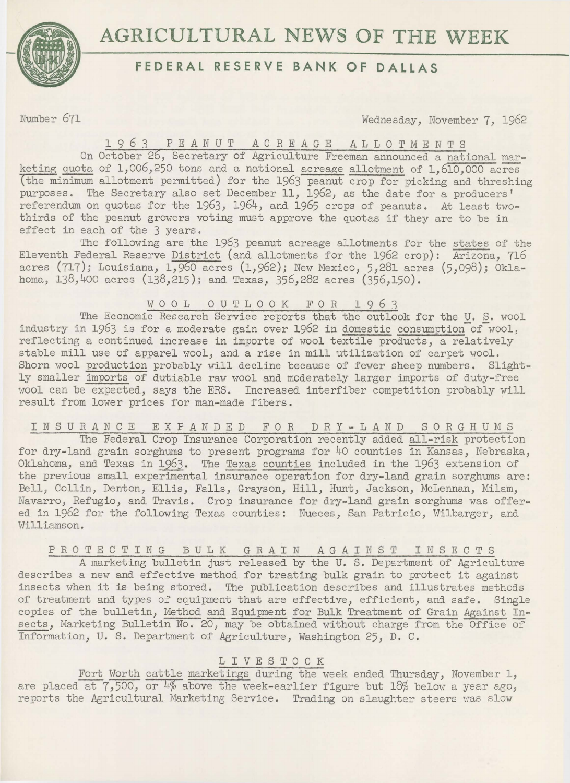

## **AGRICULTURAL NEWS OF THE WEEK**

## **FEDERAL RESERVE BANK OF DALLAS**

Number 671 Wednesday, November 7, 1962

1963 PEANUT ACREAGE ALLOTMENTS

On October 26, Secretary of Agriculture Freeman announced a national marketing quota of 1,006,250 tons and a national acreage allotment of 1,610,000 acres (the minimum allotment permitted) for the 1963 peanut crop for picking and threshing purposes. The Secretary also set December 11, 1962, as the date for a producers' referendum on quotas for the 1963, 1964, and 1965 crops of peanuts. At least twothirds of the peanut growers voting must approve the quotas if they are to be in effect in each of the 3 years.

The following are the 1963 peanut acreage allotments for the states of the Eleventh Federal Reserve District (and allotments for the 1962 crop): Arizona, 716 acres (717); Louisiana, 1,960 acres (1,962); New Mexico, 5,281 acres (5,098); Oklahoma, 138,400 acres (138,215); and Texas, 356,282 acres (356,150).

W 0 0 L 0 U T L 0 0 K F 0 R 1 9 *6* 3

The Economic Research Service reports that the outlook for the U. S. wool industry in 1963 is for a moderate gain over 1962 in domestic consumption of wool, reflecting a continued increase in imports of wool textile products, a relatively stable mill use of apparel wool, and a rise in mill utilization of carpet wool. Shorn wool production probably will decline because of fewer sheep numbers. Slightly smaller imports of dutiable raw wool and moderately larger imports of duty-free wool can be expected, says the ERS. Increased interfiber competition probably will result from lower prices for man-made fibers.

INSURANCE EXPANDED FOR DRY-LAND SORGHUMS

The Federal Crop Insurance Corporation recently added all-risk protection for dry-land grain sorghums to present programs for 40 counties in Kansas, Nebraska, Oklahoma, and Texas in 1963. The Texas counties included in the 1963 extension of the previous small experimental insurance operation for dry-land grain sorghums are: Bell, Collin, Denton, Ellis, Falls, Grayson, Hill, Hunt, Jackson, McLennan, Milam, Navarro, Refugio, and Travis. Crop insurance for dry-land grain sorghums was offered in 1962 for the following Texas counties: Nueces, San Patricio, Wilbarger, and Williamson.

PROTECTING BULK GRAIN AGAINST INSECTS

A marketing bulletin just released by the U. S. Department of Agriculture describes a new and effective method for treating bulk grain to protect it against insects when it is being stored. The publication describes and illustrates methods of treatment and types of equipment that are effective, efficient, and safe. Single copies of the bulletin, Method and Equipment for Bulk Treatment of Grain Against Insects, Marketing Bulletin No. 20, may be obtained without charge from the Office of Information, U. S. Department of Agriculture, Washington 25, D. C.

## L I V E S T 0 C K

Fort Worth cattle marketings during the week ended Thursday, November 1, are placed at  $7,500$ , or  $4\%$  above the week-earlier figure but  $18\%$  below a year ago, reports the Agricultural Marketing Service. Trading on slaughter steers was slow